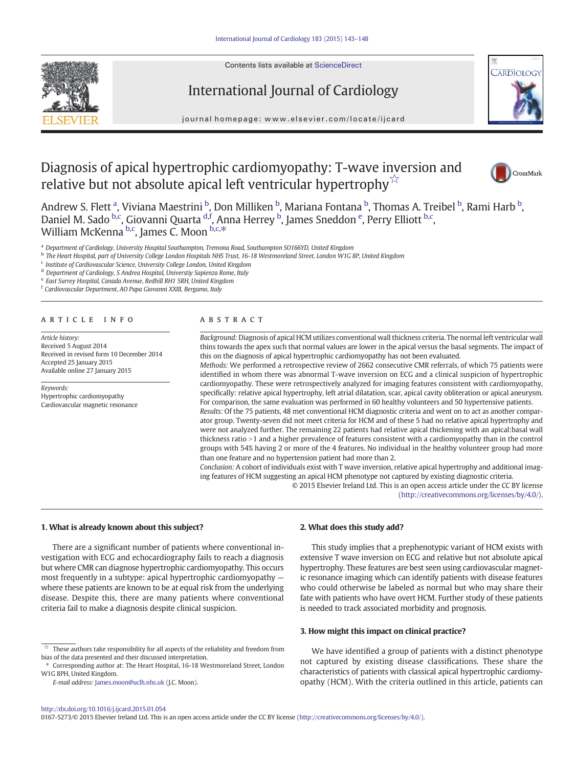Contents lists available at [ScienceDirect](http://www.sciencedirect.com/science/journal/01675273)







journal homepage:<www.elsevier.com/locate/ijcard>

# Diagnosis of apical hypertrophic cardiomyopathy: T-wave inversion and relative but not absolute apical left ventricular hypertrophy $\vec{r}$



Andrew S. Flett <sup>a</sup>, Viviana Maestrini <sup>b</sup>, Don Milliken <sup>b</sup>, Mariana Fontana <sup>b</sup>, Thomas A. Treibel <sup>b</sup>, Rami Harb <sup>b</sup>, Daniel M. Sado <sup>b,c</sup>, Giovanni Quarta <sup>d,f</sup>, Anna Herrey <sup>b</sup>, James Sneddon <sup>e</sup>, Perry Elliott <sup>b,c</sup>, William McKenna <sup>b,c</sup>, James C. Moon <sup>b,c,\*</sup>

<sup>a</sup> Department of Cardiology, University Hospital Southampton, Tremona Road, Southampton SO166YD, United Kingdom

<sup>b</sup> The Heart Hospital, part of University College London Hospitals NHS Trust, 16-18 Westmoreland Street, London W1G 8P, United Kingdom

<sup>c</sup> Institute of Cardiovascular Science, University College London, United Kingdom

<sup>d</sup> Department of Cardiology, S Andrea Hospital, Universtiy Sapienza Rome, Italy

<sup>e</sup> East Surrey Hospital, Canada Avenue, Redhill RH1 5RH, United Kingdom

<sup>f</sup> Cardiovascular Department, AO Papa Giovanni XXIII, Bergamo, Italy

#### article info abstract

Article history: Received 5 August 2014 Received in revised form 10 December 2014 Accepted 25 January 2015 Available online 27 January 2015

Keywords: Hypertrophic cardiomyopathy Cardiovascular magnetic resonance

Background: Diagnosis of apical HCM utilizes conventional wall thickness criteria. The normal left ventricular wall thins towards the apex such that normal values are lower in the apical versus the basal segments. The impact of this on the diagnosis of apical hypertrophic cardiomyopathy has not been evaluated.

Methods: We performed a retrospective review of 2662 consecutive CMR referrals, of which 75 patients were identified in whom there was abnormal T-wave inversion on ECG and a clinical suspicion of hypertrophic cardiomyopathy. These were retrospectively analyzed for imaging features consistent with cardiomyopathy, specifically: relative apical hypertrophy, left atrial dilatation, scar, apical cavity obliteration or apical aneurysm. For comparison, the same evaluation was performed in 60 healthy volunteers and 50 hypertensive patients.

Results: Of the 75 patients, 48 met conventional HCM diagnostic criteria and went on to act as another comparator group. Twenty-seven did not meet criteria for HCM and of these 5 had no relative apical hypertrophy and were not analyzed further. The remaining 22 patients had relative apical thickening with an apical:basal wall thickness ratio >1 and a higher prevalence of features consistent with a cardiomyopathy than in the control groups with 54% having 2 or more of the 4 features. No individual in the healthy volunteer group had more than one feature and no hypertension patient had more than 2.

Conclusion: A cohort of individuals exist with T wave inversion, relative apical hypertrophy and additional imaging features of HCM suggesting an apical HCM phenotype not captured by existing diagnostic criteria.

> © 2015 Elsevier Ireland Ltd. This is an open access article under the CC BY license [\(http://creativecommons.org/licenses/by/4.0/\)](http://creativecommons.org/licenses/by/4.0/).

# 1. What is already known about this subject?

There are a significant number of patients where conventional investigation with ECG and echocardiography fails to reach a diagnosis but where CMR can diagnose hypertrophic cardiomyopathy. This occurs most frequently in a subtype: apical hypertrophic cardiomyopathy where these patients are known to be at equal risk from the underlying disease. Despite this, there are many patients where conventional criteria fail to make a diagnosis despite clinical suspicion.

# 2. What does this study add?

This study implies that a prephenotypic variant of HCM exists with extensive T wave inversion on ECG and relative but not absolute apical hypertrophy. These features are best seen using cardiovascular magnetic resonance imaging which can identify patients with disease features who could otherwise be labeled as normal but who may share their fate with patients who have overt HCM. Further study of these patients is needed to track associated morbidity and prognosis.

# 3. How might this impact on clinical practice?

We have identified a group of patients with a distinct phenotype not captured by existing disease classifications. These share the characteristics of patients with classical apical hypertrophic cardiomyopathy (HCM). With the criteria outlined in this article, patients can

0167-5273/© 2015 Elsevier Ireland Ltd. This is an open access article under the CC BY license (<http://creativecommons.org/licenses/by/4.0/>).

 $\overrightarrow{a}$  These authors take responsibility for all aspects of the reliability and freedom from bias of the data presented and their discussed interpretation.

<sup>⁎</sup> Corresponding author at: The Heart Hospital, 16-18 Westmoreland Street, London W1G 8PH, United Kingdom.

E-mail address: [James.moon@uclh.nhs.uk](mailto:James.moon@uclh.nhs.uk) (J.C. Moon).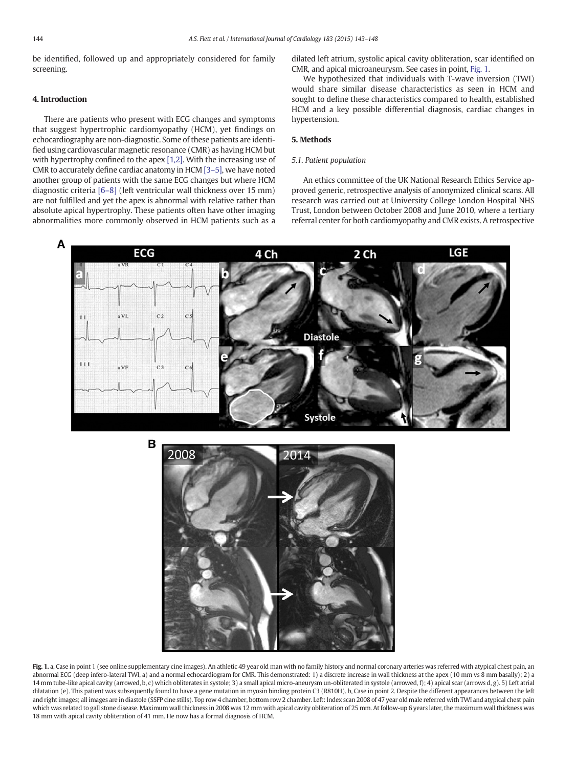<span id="page-1-0"></span>be identified, followed up and appropriately considered for family screening.

#### 4. Introduction

There are patients who present with ECG changes and symptoms that suggest hypertrophic cardiomyopathy (HCM), yet findings on echocardiography are non-diagnostic. Some of these patients are identified using cardiovascular magnetic resonance (CMR) as having HCM but with hypertrophy confined to the apex [\[1,2\].](#page-5-0) With the increasing use of CMR to accurately define cardiac anatomy in HCM [3–[5\],](#page-5-0) we have noted another group of patients with the same ECG changes but where HCM diagnostic criteria [\[6](#page-5-0)–8] (left ventricular wall thickness over 15 mm) are not fulfilled and yet the apex is abnormal with relative rather than absolute apical hypertrophy. These patients often have other imaging abnormalities more commonly observed in HCM patients such as a

dilated left atrium, systolic apical cavity obliteration, scar identified on CMR, and apical microaneurysm. See cases in point, Fig. 1.

We hypothesized that individuals with T-wave inversion (TWI) would share similar disease characteristics as seen in HCM and sought to define these characteristics compared to health, established HCM and a key possible differential diagnosis, cardiac changes in hypertension.

# 5. Methods

# 5.1. Patient population

An ethics committee of the UK National Research Ethics Service approved generic, retrospective analysis of anonymized clinical scans. All research was carried out at University College London Hospital NHS Trust, London between October 2008 and June 2010, where a tertiary referral center for both cardiomyopathy and CMR exists. A retrospective



Fig. 1. a, Case in point 1 (see online supplementary cine images). An athletic 49 year old man with no family history and normal coronary arteries was referred with atypical chest pain, an abnormal ECG (deep infero-lateral TWI, a) and a normal echocardiogram for CMR. This demonstrated: 1) a discrete increase in wall thickness at the apex (10 mm vs 8 mm basally); 2) a 14 mm tube-like apical cavity (arrowed, b, c) which obliterates in systole; 3) a small apical micro-aneurysm un-obliterated in systole (arrowed, f); 4) apical scar (arrows d, g). 5) Left atrial dilatation (e). This patient was subsequently found to have a gene mutation in myosin binding protein C3 (R810H). b, Case in point 2. Despite the different appearances between the left and right images; all images are in diastole (SSFP cine stills). Top row 4 chamber, bottom row 2 chamber. Left: Index scan 2008 of 47 year old male referred with TWI and atypical chest pain which was related to gall stone disease. Maximum wall thickness in 2008 was 12 mm with apical cavity obliteration of 25 mm. At follow-up 6 years later, the maximum wall thickness was 18 mm with apical cavity obliteration of 41 mm. He now has a formal diagnosis of HCM.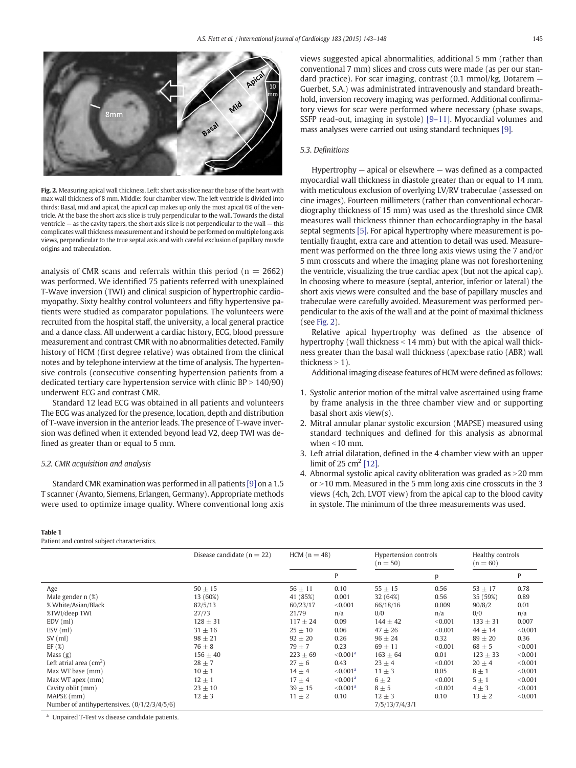8mn Fig. 2. Measuring apical wall thickness. Left: short axis slice near the base of the heart with max wall thickness of 8 mm. Middle: four chamber view. The left ventricle is divided into thirds: Basal, mid and apical, the apical cap makes up only the most apical 6% of the ventricle. At the base the short axis slice is truly perpendicular to the wall. Towards the distal ventricle  $-$  as the cavity tapers, the short axis slice is not perpendicular to the wall  $-$  this

complicates wall thickness measurement and it should be performed on multiple long axis views, perpendicular to the true septal axis and with careful exclusion of papillary muscle

analysis of CMR scans and referrals within this period ( $n = 2662$ ) was performed. We identified 75 patients referred with unexplained T-Wave inversion (TWI) and clinical suspicion of hypertrophic cardiomyopathy. Sixty healthy control volunteers and fifty hypertensive patients were studied as comparator populations. The volunteers were recruited from the hospital staff, the university, a local general practice and a dance class. All underwent a cardiac history, ECG, blood pressure measurement and contrast CMR with no abnormalities detected. Family history of HCM (first degree relative) was obtained from the clinical notes and by telephone interview at the time of analysis. The hypertensive controls (consecutive consenting hypertension patients from a dedicated tertiary care hypertension service with clinic  $BP > 140/90$ ) underwent ECG and contrast CMR.

Standard 12 lead ECG was obtained in all patients and volunteers The ECG was analyzed for the presence, location, depth and distribution of T-wave inversion in the anterior leads. The presence of T-wave inversion was defined when it extended beyond lead V2, deep TWI was defined as greater than or equal to 5 mm.

#### 5.2. CMR acquisition and analysis

origins and trabeculation.

Standard CMR examination was performed in all patients [\[9\]](#page-5-0) on a 1.5 T scanner (Avanto, Siemens, Erlangen, Germany). Appropriate methods were used to optimize image quality. Where conventional long axis

#### Table 1

Patient and control subject characteristics.

views suggested apical abnormalities, additional 5 mm (rather than conventional 7 mm) slices and cross cuts were made (as per our standard practice). For scar imaging, contrast (0.1 mmol/kg, Dotarem — Guerbet, S.A.) was administrated intravenously and standard breathhold, inversion recovery imaging was performed. Additional confirmatory views for scar were performed where necessary (phase swaps, SSFP read-out, imaging in systole) [9–[11\]](#page-5-0). Myocardial volumes and mass analyses were carried out using standard techniques [\[9\].](#page-5-0)

# 5.3. Definitions

Hypertrophy — apical or elsewhere — was defined as a compacted myocardial wall thickness in diastole greater than or equal to 14 mm, with meticulous exclusion of overlying LV/RV trabeculae (assessed on cine images). Fourteen millimeters (rather than conventional echocardiography thickness of 15 mm) was used as the threshold since CMR measures wall thickness thinner than echocardiography in the basal septal segments [\[5\]](#page-5-0). For apical hypertrophy where measurement is potentially fraught, extra care and attention to detail was used. Measurement was performed on the three long axis views using the 7 and/or 5 mm crosscuts and where the imaging plane was not foreshortening the ventricle, visualizing the true cardiac apex (but not the apical cap). In choosing where to measure (septal, anterior, inferior or lateral) the short axis views were consulted and the base of papillary muscles and trabeculae were carefully avoided. Measurement was performed perpendicular to the axis of the wall and at the point of maximal thickness (see Fig. 2).

Relative apical hypertrophy was defined as the absence of hypertrophy (wall thickness  $<$  14 mm) but with the apical wall thickness greater than the basal wall thickness (apex:base ratio (ABR) wall thickness  $> 1$ ).

Additional imaging disease features of HCM were defined as follows:

- 1. Systolic anterior motion of the mitral valve ascertained using frame by frame analysis in the three chamber view and or supporting basal short axis view(s).
- 2. Mitral annular planar systolic excursion (MAPSE) measured using standard techniques and defined for this analysis as abnormal when  $<$ 10 mm.
- 3. Left atrial dilatation, defined in the 4 chamber view with an upper limit of 25 cm<sup>2</sup> [\[12\]](#page-5-0).
- 4. Abnormal systolic apical cavity obliteration was graded as  $>$  20 mm  $or > 10$  mm. Measured in the 5 mm long axis cine crosscuts in the 3 views (4ch, 2ch, LVOT view) from the apical cap to the blood cavity in systole. The minimum of the three measurements was used.

|                                              | Disease candidate ( $n = 22$ ) | $HCM (n = 48)$ |                      | Hypertension controls<br>$(n = 50)$ |         | Healthy controls<br>$(n = 60)$ |         |
|----------------------------------------------|--------------------------------|----------------|----------------------|-------------------------------------|---------|--------------------------------|---------|
|                                              |                                |                |                      |                                     |         |                                |         |
|                                              |                                |                | P                    |                                     | p       |                                | P       |
| Age                                          | $50 \pm 15$                    | $56 \pm 11$    | 0.10                 | $55 \pm 15$                         | 0.56    | $53 \pm 17$                    | 0.78    |
| Male gender $n$ $(\%)$                       | 13 (60%)                       | 41 (85%)       | 0.001                | 32 (64%)                            | 0.56    | 35 (59%)                       | 0.89    |
| % White/Asian/Black                          | 82/5/13                        | 60/23/17       | < 0.001              | 66/18/16                            | 0.009   | 90/8/2                         | 0.01    |
| %TWI/deep TWI                                | 27/73                          | 21/79          | n/a                  | 0/0                                 | n/a     | 0/0                            | n/a     |
| $EDV$ (ml)                                   | $128 \pm 31$                   | $117 + 24$     | 0.09                 | $144 \pm 42$                        | < 0.001 | $133 \pm 31$                   | 0.007   |
| $ESV$ (ml)                                   | $31 \pm 16$                    | $25 \pm 10$    | 0.06                 | $47 \pm 26$                         | < 0.001 | $44 \pm 14$                    | < 0.001 |
| $SV$ (ml)                                    | $98 \pm 21$                    | $92 \pm 20$    | 0.26                 | $96 \pm 24$                         | 0.32    | $89 \pm 20$                    | 0.36    |
| EF(%)                                        | $76 \pm 8$                     | $79 \pm 7$     | 0.23                 | $69 \pm 11$                         | < 0.001 | $68 \pm 5$                     | < 0.001 |
| Mass(g)                                      | $156 + 40$                     | $223 + 69$     | $\leq 0.001^{\rm a}$ | $163 + 64$                          | 0.01    | $123 + 33$                     | < 0.001 |
| Left atrial area $\rm (cm^2)$                | $28 \pm 7$                     | $27 \pm 6$     | 0.43                 | $23 \pm 4$                          | < 0.001 | $20 \pm 4$                     | < 0.001 |
| Max WT base (mm)                             | $10 \pm 1$                     | $14 \pm 4$     | $\leq 0.001^a$       | $11 \pm 3$                          | 0.05    | $8 \pm 1$                      | < 0.001 |
| Max WT apex (mm)                             | $12 \pm 1$                     | $17 + 4$       | $\leq 0.001^{\rm a}$ | $6\pm 2$                            | < 0.001 | $5 \pm 1$                      | < 0.001 |
| Cavity oblit (mm)                            | $23 \pm 10$                    | $39 \pm 15$    | $\leq 0.001^a$       | $8 \pm 5$                           | < 0.001 | $4 \pm 3$                      | < 0.001 |
| MAPSE (mm)                                   | $12 \pm 3$                     | $11 \pm 2$     | 0.10                 | $12 \pm 3$                          | 0.10    | $13 \pm 2$                     | < 0.001 |
| Number of antihypertensives. (0/1/2/3/4/5/6) |                                |                |                      | 7/5/13/7/4/3/1                      |         |                                |         |

Unpaired T-Test vs disease candidate patients.

<span id="page-2-0"></span>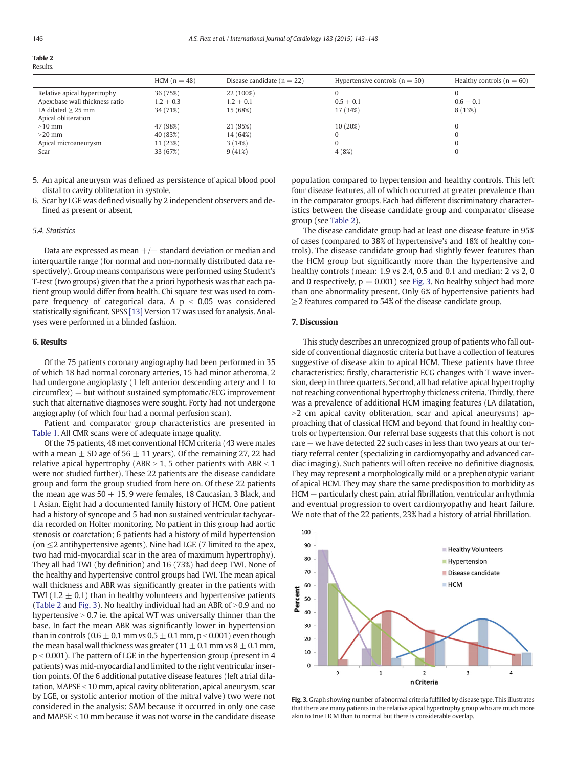| on the | $\sim$ |
|--------|--------|
| ٧      |        |

|                                | $HCM (n = 48)$ | Disease candidate ( $n = 22$ ) | Hypertensive controls ( $n = 50$ ) | Healthy controls ( $n = 60$ ) |
|--------------------------------|----------------|--------------------------------|------------------------------------|-------------------------------|
| Relative apical hypertrophy    | 36 (75%)       | 22 (100%)                      |                                    |                               |
| Apex:base wall thickness ratio | $1.2 \pm 0.3$  | $1.2 \pm 0.1$                  | $0.5 + 0.1$                        | $0.6 + 0.1$                   |
| LA dilated $\geq$ 25 mm        | 34 (71%)       | 15 (68%)                       | 17 (34%)                           | 8 (13%)                       |
| Apical obliteration            |                |                                |                                    |                               |
| $>10$ mm                       | 47 (98%)       | 21 (95%)                       | 10(20%)                            |                               |
| $>20$ mm                       | 40 (83%)       | 14 (64%)                       |                                    |                               |
| Apical microaneurysm           | 11 (23%)       | 3(14%)                         |                                    |                               |
| Scar                           | 33 (67%)       | 9(41%)                         | 4(8%)                              |                               |

5. An apical aneurysm was defined as persistence of apical blood pool distal to cavity obliteration in systole.

6. Scar by LGE was defined visually by 2 independent observers and defined as present or absent.

#### 5.4. Statistics

Data are expressed as mean  $+/-$  standard deviation or median and interquartile range (for normal and non-normally distributed data respectively). Group means comparisons were performed using Student's T-test (two groups) given that the a priori hypothesis was that each patient group would differ from health. Chi square test was used to compare frequency of categorical data. A  $p < 0.05$  was considered statistically significant. SPSS [\[13\]](#page-5-0) Version 17 was used for analysis. Analyses were performed in a blinded fashion.

#### 6. Results

Of the 75 patients coronary angiography had been performed in 35 of which 18 had normal coronary arteries, 15 had minor atheroma, 2 had undergone angioplasty (1 left anterior descending artery and 1 to circumflex) — but without sustained symptomatic/ECG improvement such that alternative diagnoses were sought. Forty had not undergone angiography (of which four had a normal perfusion scan).

Patient and comparator group characteristics are presented in [Table 1](#page-2-0). All CMR scans were of adequate image quality.

Of the 75 patients, 48 met conventional HCM criteria (43 were males with a mean  $\pm$  SD age of 56  $\pm$  11 years). Of the remaining 27, 22 had relative apical hypertrophy (ABR  $> 1$ , 5 other patients with ABR  $< 1$ were not studied further). These 22 patients are the disease candidate group and form the group studied from here on. Of these 22 patients the mean age was  $50 \pm 15$ , 9 were females, 18 Caucasian, 3 Black, and 1 Asian. Eight had a documented family history of HCM. One patient had a history of syncope and 5 had non sustained ventricular tachycardia recorded on Holter monitoring. No patient in this group had aortic stenosis or coarctation; 6 patients had a history of mild hypertension (on  $\leq$ 2 antihypertensive agents). Nine had LGE (7 limited to the apex, two had mid-myocardial scar in the area of maximum hypertrophy). They all had TWI (by definition) and 16 (73%) had deep TWI. None of the healthy and hypertensive control groups had TWI. The mean apical wall thickness and ABR was significantly greater in the patients with TWI (1.2  $\pm$  0.1) than in healthy volunteers and hypertensive patients (Table 2 and Fig. 3). No healthy individual had an ABR of  $>0.9$  and no hypertensive  $> 0.7$  ie. the apical WT was universally thinner than the base. In fact the mean ABR was significantly lower in hypertension than in controls (0.6  $\pm$  0.1 mm vs 0.5  $\pm$  0.1 mm, p < 0.001) even though the mean basal wall thickness was greater ( $11 \pm 0.1$  mm vs  $8 \pm 0.1$  mm,  $p < 0.001$ ). The pattern of LGE in the hypertension group (present in 4 patients) was mid-myocardial and limited to the right ventricular insertion points. Of the 6 additional putative disease features (left atrial dilatation, MAPSE  $<$  10 mm, apical cavity obliteration, apical aneurysm, scar by LGE, or systolic anterior motion of the mitral valve) two were not considered in the analysis: SAM because it occurred in only one case and MAPSE  $<$  10 mm because it was not worse in the candidate disease population compared to hypertension and healthy controls. This left four disease features, all of which occurred at greater prevalence than in the comparator groups. Each had different discriminatory characteristics between the disease candidate group and comparator disease group (see Table 2).

The disease candidate group had at least one disease feature in 95% of cases (compared to 38% of hypertensive's and 18% of healthy controls). The disease candidate group had slightly fewer features than the HCM group but significantly more than the hypertensive and healthy controls (mean: 1.9 vs 2.4, 0.5 and 0.1 and median: 2 vs 2, 0 and 0 respectively,  $p = 0.001$ ) see Fig. 3. No healthy subject had more than one abnormality present. Only 6% of hypertensive patients had  $\geq$  2 features compared to 54% of the disease candidate group.

# 7. Discussion

This study describes an unrecognized group of patients who fall outside of conventional diagnostic criteria but have a collection of features suggestive of disease akin to apical HCM. These patients have three characteristics: firstly, characteristic ECG changes with T wave inversion, deep in three quarters. Second, all had relative apical hypertrophy not reaching conventional hypertrophy thickness criteria. Thirdly, there was a prevalence of additional HCM imaging features (LA dilatation, >2 cm apical cavity obliteration, scar and apical aneurysms) approaching that of classical HCM and beyond that found in healthy controls or hypertension. Our referral base suggests that this cohort is not rare — we have detected 22 such cases in less than two years at our tertiary referral center (specializing in cardiomyopathy and advanced cardiac imaging). Such patients will often receive no definitive diagnosis. They may represent a morphologically mild or a prephenotypic variant of apical HCM. They may share the same predisposition to morbidity as HCM — particularly chest pain, atrial fibrillation, ventricular arrhythmia and eventual progression to overt cardiomyopathy and heart failure. We note that of the 22 patients, 23% had a history of atrial fibrillation.



Fig. 3. Graph showing number of abnormal criteria fulfilled by disease type. This illustrates that there are many patients in the relative apical hypertrophy group who are much more akin to true HCM than to normal but there is considerable overlap.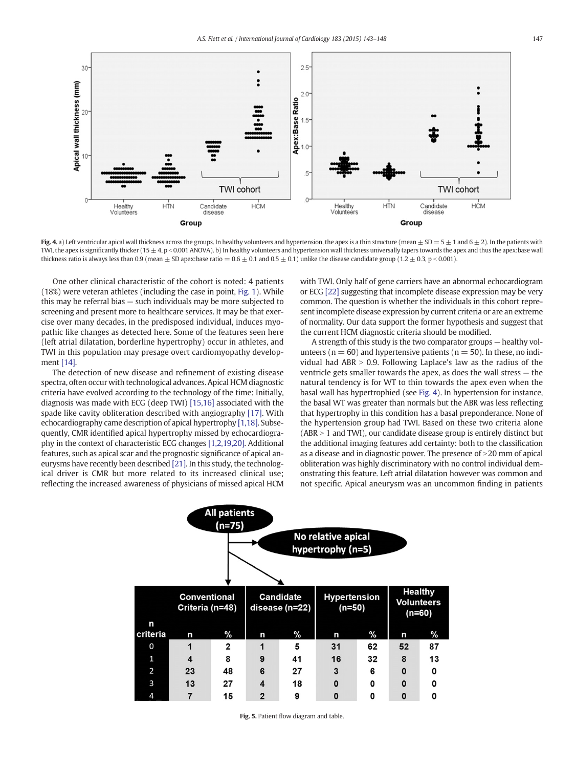<span id="page-4-0"></span>

Fig. 4. a) Left ventricular apical wall thickness across the groups. In healthy volunteers and hypertension, the apex is a thin structure (mean  $\pm$  SD = 5  $\pm$  1 and 6  $\pm$  2). In the patients with TWI, the apex is significantly thicker ( $15 \pm 4$ , p < 0.001 ANOVA). b) In healthy volunteers and hypertension wall thickness universally tapers towards the apex and thus the apex: base wall thickness ratio is always less than 0.9 (mean  $\pm$  SD apex:base ratio = 0.6  $\pm$  0.1 and 0.5  $\pm$  0.1) unlike the disease candidate group (1.2  $\pm$  0.3, p < 0.001).

One other clinical characteristic of the cohort is noted: 4 patients (18%) were veteran athletes (including the case in point, [Fig. 1\)](#page-1-0). While this may be referral bias — such individuals may be more subjected to screening and present more to healthcare services. It may be that exercise over many decades, in the predisposed individual, induces myopathic like changes as detected here. Some of the features seen here (left atrial dilatation, borderline hypertrophy) occur in athletes, and TWI in this population may presage overt cardiomyopathy development [\[14\].](#page-5-0)

The detection of new disease and refinement of existing disease spectra, often occur with technological advances. Apical HCM diagnostic criteria have evolved according to the technology of the time: Initially, diagnosis was made with ECG (deep TWI) [\[15,16\]](#page-5-0) associated with the spade like cavity obliteration described with angiography [\[17\].](#page-5-0) With echocardiography came description of apical hypertrophy [\[1,18\].](#page-5-0) Subsequently, CMR identified apical hypertrophy missed by echocardiography in the context of characteristic ECG changes [\[1,2,19,20\].](#page-5-0) Additional features, such as apical scar and the prognostic significance of apical aneurysms have recently been described [\[21\]](#page-5-0). In this study, the technological driver is CMR but more related to its increased clinical use; reflecting the increased awareness of physicians of missed apical HCM with TWI. Only half of gene carriers have an abnormal echocardiogram or ECG [\[22\]](#page-5-0) suggesting that incomplete disease expression may be very common. The question is whether the individuals in this cohort represent incomplete disease expression by current criteria or are an extreme of normality. Our data support the former hypothesis and suggest that the current HCM diagnostic criteria should be modified.

A strength of this study is the two comparator groups — healthy volunteers ( $n = 60$ ) and hypertensive patients ( $n = 50$ ). In these, no individual had  $ABR > 0.9$ . Following Laplace's law as the radius of the ventricle gets smaller towards the apex, as does the wall stress — the natural tendency is for WT to thin towards the apex even when the basal wall has hypertrophied (see Fig. 4). In hypertension for instance, the basal WT was greater than normals but the ABR was less reflecting that hypertrophy in this condition has a basal preponderance. None of the hypertension group had TWI. Based on these two criteria alone  $(ABR > 1$  and TWI), our candidate disease group is entirely distinct but the additional imaging features add certainty: both to the classification as a disease and in diagnostic power. The presence of  $>$  20 mm of apical obliteration was highly discriminatory with no control individual demonstrating this feature. Left atrial dilatation however was common and not specific. Apical aneurysm was an uncommon finding in patients

| <b>All patients</b><br>$(n=75)$<br>No relative apical<br>hypertrophy (n=5) |                                        |    |                                    |      |                                 |      |                                                 |      |  |
|----------------------------------------------------------------------------|----------------------------------------|----|------------------------------------|------|---------------------------------|------|-------------------------------------------------|------|--|
|                                                                            | <b>Conventional</b><br>Criteria (n=48) |    | <b>Candidate</b><br>disease (n=22) |      | <b>Hypertension</b><br>$(n=50)$ |      | <b>Healthy</b><br><b>Volunteers</b><br>$(n=60)$ |      |  |
| n<br>criteria                                                              | n                                      | %  | n                                  | $\%$ | n                               | $\%$ | n                                               | $\%$ |  |
| 0                                                                          | 1                                      | 2  | 1                                  | 5    | 31                              | 62   | 52                                              | 87   |  |
| 1                                                                          | 4                                      | 8  | 9                                  | 41   | 16                              | 32   | 8                                               | 13   |  |
| 2                                                                          | 23                                     | 48 | 6                                  | 27   | 3                               | 6    | $\mathbf{0}$                                    | 0    |  |
| 3                                                                          | 13                                     | 27 | $\overline{\mathbf{4}}$            | 18   | $\mathbf 0$                     | 0    | $\mathbf 0$                                     | 0    |  |
| 4                                                                          | 7                                      | 15 | $\overline{2}$                     | 9    | $\mathbf{0}$                    | 0    | $\mathbf 0$                                     | 0    |  |

Fig. 5. Patient flow diagram and table.